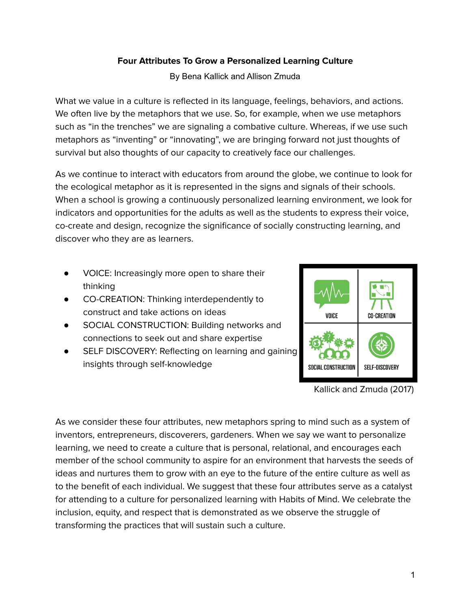## **Four Attributes To Grow a Personalized Learning Culture**

By Bena Kallick and Allison Zmuda

What we value in a culture is reflected in its language, feelings, behaviors, and actions. We often live by the metaphors that we use. So, for example, when we use metaphors such as "in the trenches" we are signaling a combative culture. Whereas, if we use such metaphors as "inventing" or "innovating", we are bringing forward not just thoughts of survival but also thoughts of our capacity to creatively face our challenges.

As we continue to interact with educators from around the globe, we continue to look for the ecological metaphor as it is represented in the signs and signals of their schools. When a school is growing a continuously personalized learning environment, we look for indicators and opportunities for the adults as well as the students to express their voice, co-create and design, recognize the significance of socially constructing learning, and discover who they are as learners.

- VOICE: Increasingly more open to share their thinking
- CO-CREATION: Thinking interdependently to construct and take actions on ideas
- SOCIAL CONSTRUCTION: Building networks and connections to seek out and share expertise
- SELF DISCOVERY: Reflecting on learning and gaining insights through self-knowledge



Kallick and Zmuda (2017)

As we consider these four attributes, new metaphors spring to mind such as a system of inventors, entrepreneurs, discoverers, gardeners. When we say we want to personalize learning, we need to create a culture that is personal, relational, and encourages each member of the school community to aspire for an environment that harvests the seeds of ideas and nurtures them to grow with an eye to the future of the entire culture as well as to the benefit of each individual. We suggest that these four attributes serve as a catalyst for attending to a culture for personalized learning with Habits of Mind. We celebrate the inclusion, equity, and respect that is demonstrated as we observe the struggle of transforming the practices that will sustain such a culture.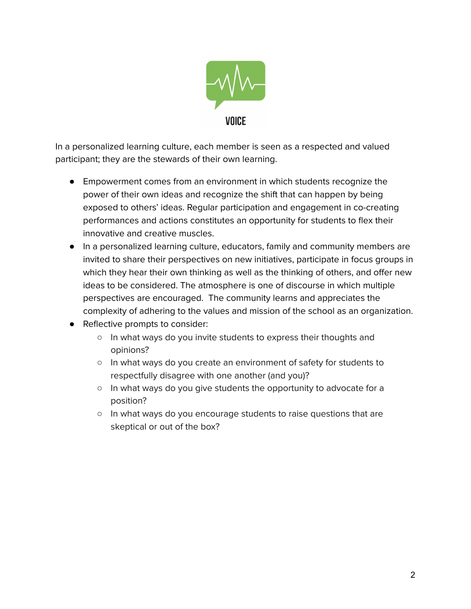

In a personalized learning culture, each member is seen as a respected and valued participant; they are the stewards of their own learning.

- Empowerment comes from an environment in which students recognize the power of their own ideas and recognize the shift that can happen by being exposed to others' ideas. Regular participation and engagement in co-creating performances and actions constitutes an opportunity for students to flex their innovative and creative muscles.
- In a personalized learning culture, educators, family and community members are invited to share their perspectives on new initiatives, participate in focus groups in which they hear their own thinking as well as the thinking of others, and offer new ideas to be considered. The atmosphere is one of discourse in which multiple perspectives are encouraged. The community learns and appreciates the complexity of adhering to the values and mission of the school as an organization.
- Reflective prompts to consider:
	- In what ways do you invite students to express their thoughts and opinions?
	- In what ways do you create an environment of safety for students to respectfully disagree with one another (and you)?
	- In what ways do you give students the opportunity to advocate for a position?
	- In what ways do you encourage students to raise questions that are skeptical or out of the box?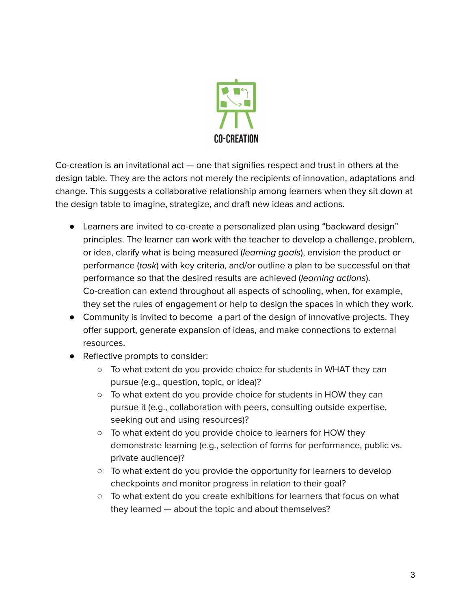

Co-creation is an invitational act — one that signifies respect and trust in others at the design table. They are the actors not merely the recipients of innovation, adaptations and change. This suggests a collaborative relationship among learners when they sit down at the design table to imagine, strategize, and draft new ideas and actions.

- Learners are invited to co-create a personalized plan using "backward design" principles. The learner can work with the teacher to develop a challenge, problem, or idea, clarify what is being measured (learning goals), envision the product or performance (task) with key criteria, and/or outline a plan to be successful on that performance so that the desired results are achieved (learning actions). Co-creation can extend throughout all aspects of schooling, when, for example, they set the rules of engagement or help to design the spaces in which they work.
- Community is invited to become a part of the design of innovative projects. They offer support, generate expansion of ideas, and make connections to external resources.
- Reflective prompts to consider:
	- $\circ$  To what extent do you provide choice for students in WHAT they can pursue (e.g., question, topic, or idea)?
	- To what extent do you provide choice for students in HOW they can pursue it (e.g., collaboration with peers, consulting outside expertise, seeking out and using resources)?
	- To what extent do you provide choice to learners for HOW they demonstrate learning (e.g., selection of forms for performance, public vs. private audience)?
	- $\circ$  To what extent do you provide the opportunity for learners to develop checkpoints and monitor progress in relation to their goal?
	- To what extent do you create exhibitions for learners that focus on what they learned — about the topic and about themselves?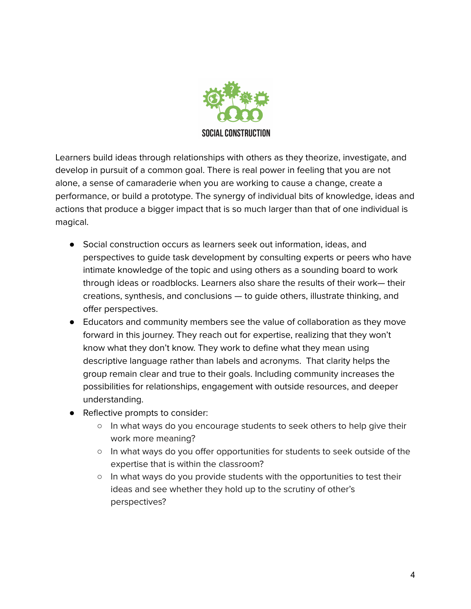

Learners build ideas through relationships with others as they theorize, investigate, and develop in pursuit of a common goal. There is real power in feeling that you are not alone, a sense of camaraderie when you are working to cause a change, create a performance, or build a prototype. The synergy of individual bits of knowledge, ideas and actions that produce a bigger impact that is so much larger than that of one individual is magical.

- Social construction occurs as learners seek out information, ideas, and perspectives to guide task development by consulting experts or peers who have intimate knowledge of the topic and using others as a sounding board to work through ideas or roadblocks. Learners also share the results of their work— their creations, synthesis, and conclusions — to guide others, illustrate thinking, and offer perspectives.
- Educators and community members see the value of collaboration as they move forward in this journey. They reach out for expertise, realizing that they won't know what they don't know. They work to define what they mean using descriptive language rather than labels and acronyms. That clarity helps the group remain clear and true to their goals. Including community increases the possibilities for relationships, engagement with outside resources, and deeper understanding.
- Reflective prompts to consider:
	- In what ways do you encourage students to seek others to help give their work more meaning?
	- In what ways do you offer opportunities for students to seek outside of the expertise that is within the classroom?
	- In what ways do you provide students with the opportunities to test their ideas and see whether they hold up to the scrutiny of other's perspectives?